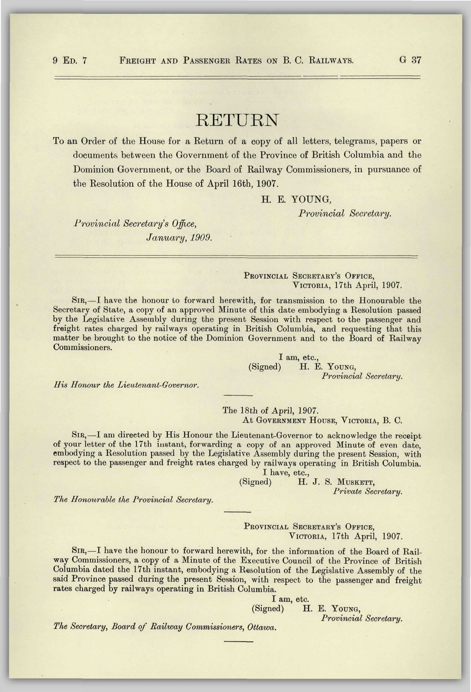## RETURN

To an Order of the House for a Return of a copy of all letters, telegrams, papers or documents between the Government of the Province of British Columbia and the Dominion Government, or the Board of Railway Commissioners, in pursuance of the Resolution of the House of April 16th, 1907.

H. E. YOUNG,

*Provincial Secretary.* 

*Provincial Secretary's Office, January, 1909.* 

> PROVINCIAL SECRETARY'S OFFICE, VICTORIA, 17th April, 1907.

SIR,—I have the honour to forward herewith, for transmission to the Honourable the Secretary of State, a copy of an approved Minute of this date embodying a Resolution passed by the Legislative Assembly during the present Session with respect to the passenger and freight rates charged by railways operating in British Columbia, and requesting that this matter be brought to the notice of the Dominion Government and to the Board of Railway Commissioners.

> I am, etc., (Signed) H. E. YOUNG, *Provincial Secretary.*

*His Honour the Lieutenant-Governor.* 

The 18th of April, 1907. At GOVERNMENT HOUSE, VICTORIA, B. C.

SIR,—I am directed by His Honour the Lieutenant-Governor to acknowledge the receipt of your letter of the 17th instant, forwarding a copy of an approved Minute of even date, embodying a Resolution passed by the Legislative Assembly during the present Session, with respect to the passenger and freight rates charged by railways operating in British Columbia.

I have, etc.,

(Signed) H. J. S. MUSKETT, *Private Secretary.* 

*The Honourable the Provincial Secretary.* 

PROVINCIAL SECRETARY'S OFFICE. VICTORIA, 17th April, 1907.

SIR,—I have the honour to forward herewith, for the information of the Board of Railway Commissioners, a copy of a Minute of the Executive Council of the Province of British Columbia dated the 17th instant, embodying a Resolution of the Legislative Assembly of the said Province passed during the present Session, with respect to the passenger and freight rates charged by railways operating in British Columbia.

> I am, etc. (Signed) H. E. YOUNG, *Provincial Secretary.*

*The Secretary, Board of Railway Commissioners, Ottawa.*